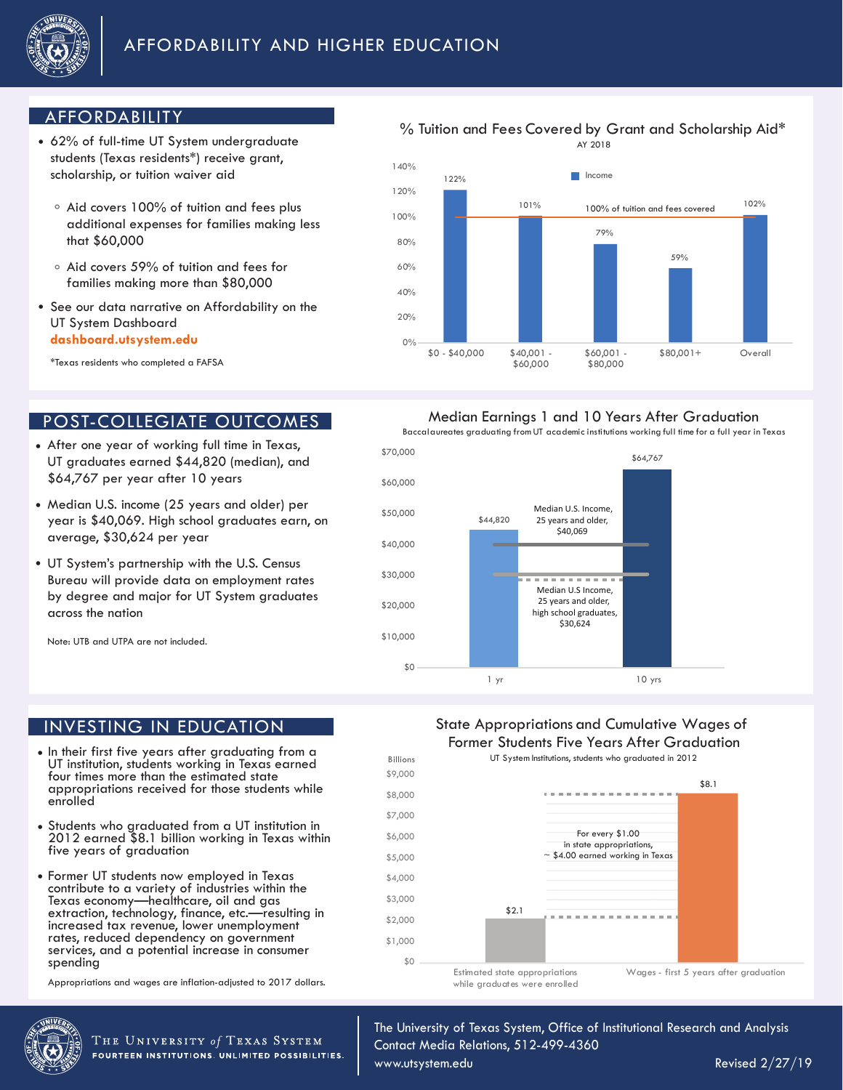

# AFFORDABILITY

- 62% of full-time UT System undergraduate students (Texas residents\*) receive grant, scholarship, or tuition waiver aid
	- $\circ$  Aid covers 100% of tuition and fees plus additional expenses for families making less that \$60,000
	- Aid covers 59% of tuition and fees for families making more than \$80,000
- See our data narrative on Affordability on the UT System Dashboard **dashboard.utsystem.edu**

\*Texas residents who completed a FAFSA

### POST-COLLEGIATE OUTCOMES

- After one year of working full time in Texas, UT graduates earned \$44,820 (median), and \$64,767 per year after 10 years
- Median U.S. income (25 years and older) per year is \$40,069. High school graduates earn, on average, \$30,624 per year
- UT System's partnership with the U.S. Census Bureau will provide data on employment rates by degree and major for UT System graduates across the nation

Note: UTB and UTPA are not included.

### INVESTING IN EDUCATION

- In their first five years after graduating from a UT institution, students working in Texas earned four times more than the estimated state appropriations received for those students while enrolled
- Students who graduated from a UT institution in 2012 earned \$8.1 billion working in Texas within five years of graduation
- Former UT students now employed in Texas contribute to a variety of industries within the Texas economy—healthcare, oil and gas extraction, technology, finance, etc.—resulting in increased tax revenue, lower unemployment rates, reduced dependency on government services, and a potential increase in consumer spending

Appropriations and wages are inflation-adjusted to 2017 dollars.



THE UNIVERSITY of TEXAS SYSTEM FOURTEEN INSTITUTIONS. UNLIMITED POSSIBILITIES.

# % Tuition and Fees Covered by Grant and Scholarship Aid\*



### Median Earnings 1 and 10 Years After Graduation

Baccalaureates graduating from UT academic institutions working full time for a full year in Texas



### State Appropriations and Cumulative Wages of Former Students Five Years After Graduation

UT System Institutions, students who graduated in 2012



The University of Texas System, Office of Institutional Research and Analysis Contact Media Relations, 512-499-4360

www.utsystem.edu

Revised 2/27/19